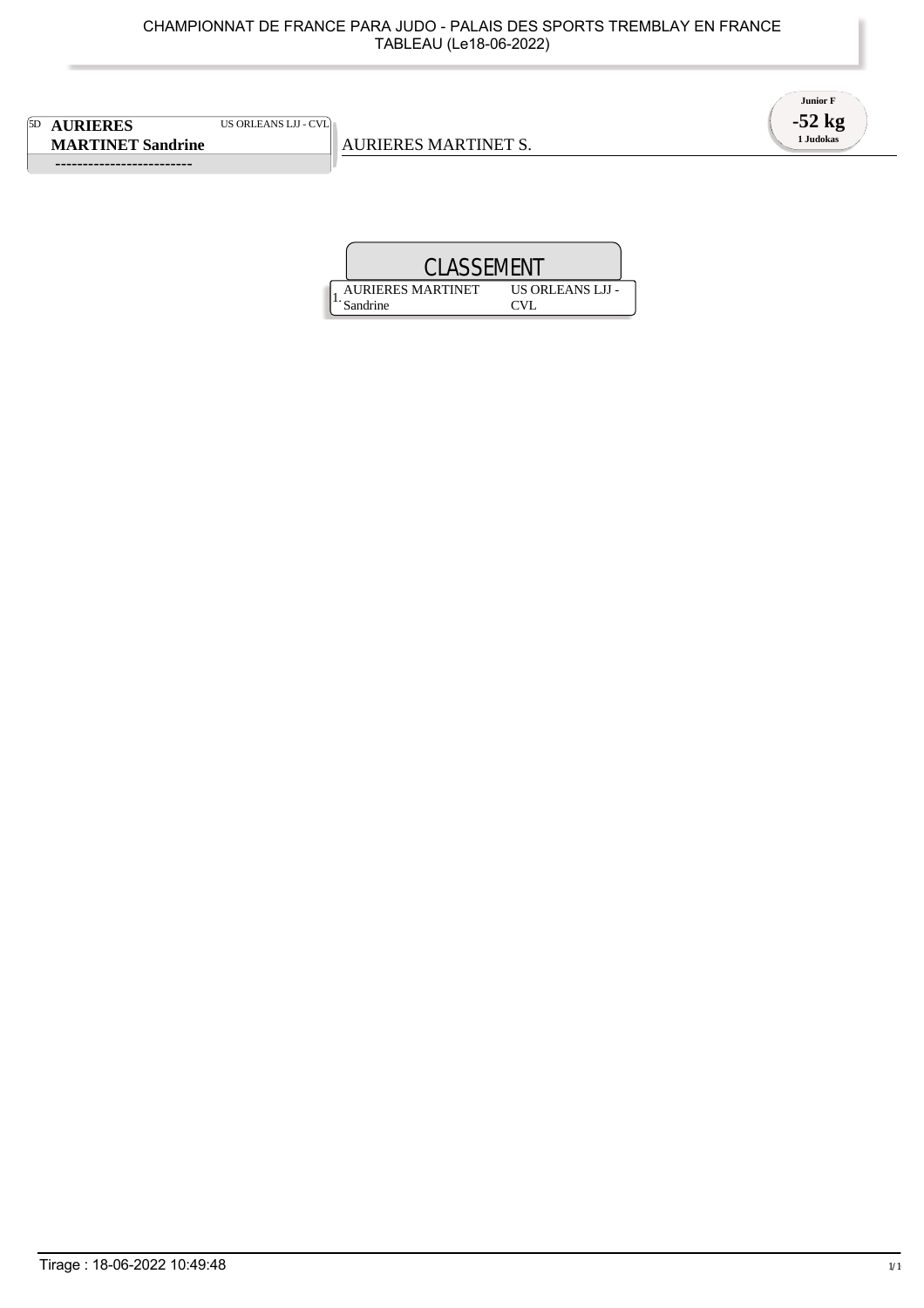5D **AURIERES** US ORLEANS LJJ - CVL **MARTINET Sandrine**

 **-------------------------** 

AURIERES MARTINET S.



1. AURIERES MARTINET Sandrine US ORLEANS LJJ - CVL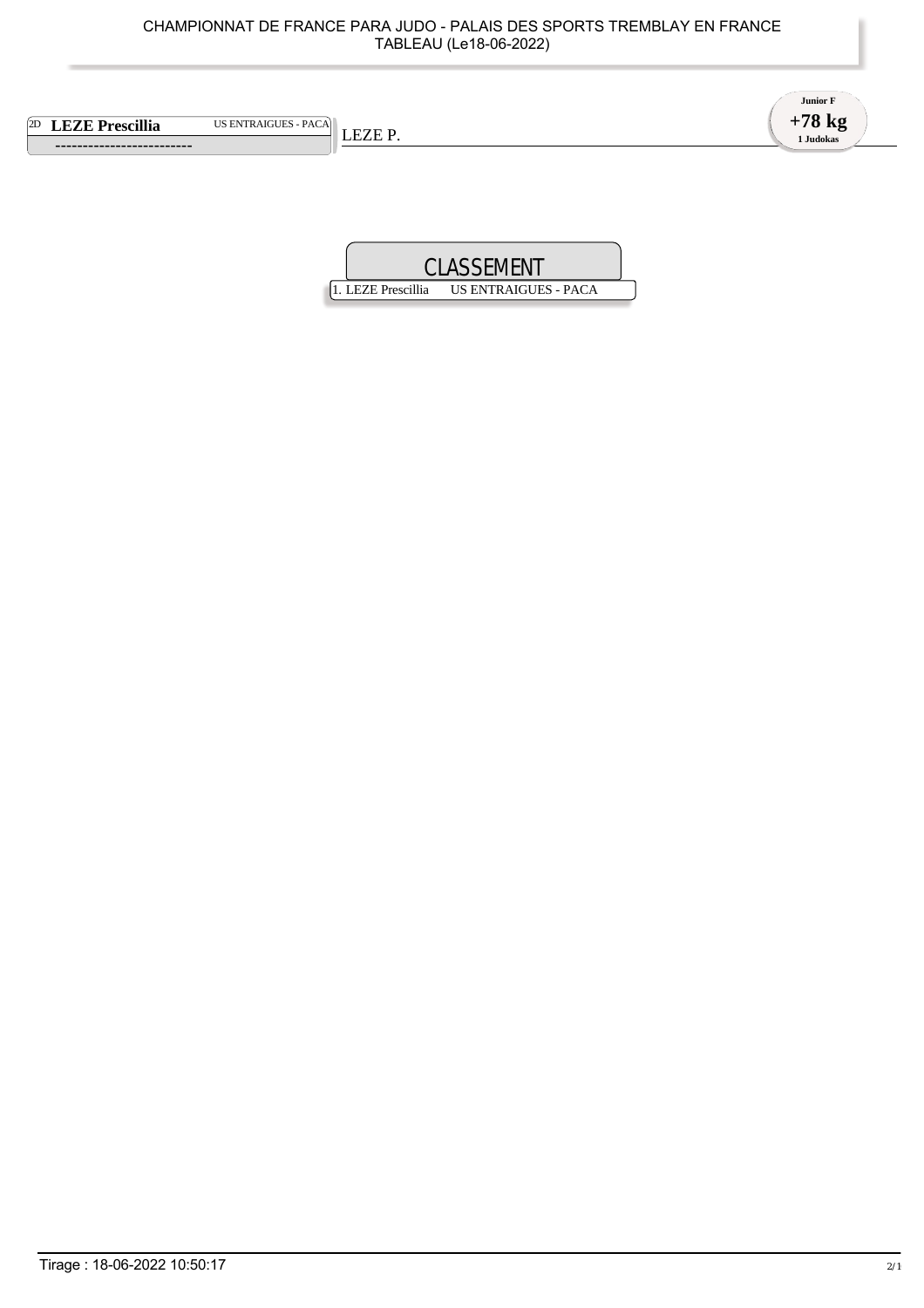|    | CHAMPIONNAT DE FRANCE PARA JUDO - PALAIS DES SPORTS TREMBLAY EN FRANCE<br>TABLEAU (Le18-06-2022) |                                          |
|----|--------------------------------------------------------------------------------------------------|------------------------------------------|
| 2D | <b>US ENTRAIGUES - PACA</b><br><b>LEZE Prescillia</b><br>LEZE P.                                 | <b>Junior F</b><br>$+78$ kg<br>1 Judokas |
|    | <b>CLASSEMENT</b>                                                                                |                                          |

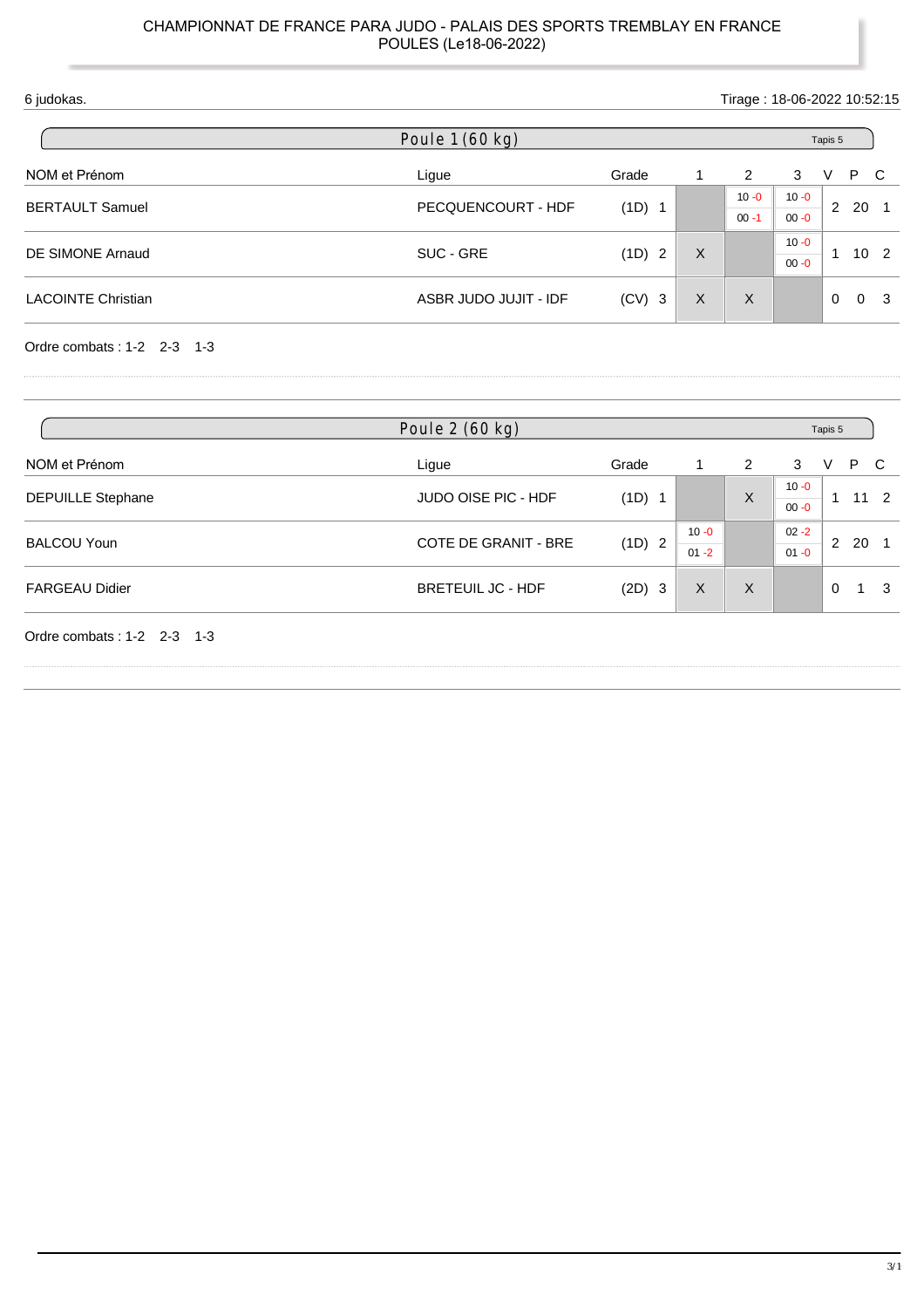| 6 judokas.                |                       |                        |   |          | Tirage: 18-06-2022 10:52:15 |          |     |                 |
|---------------------------|-----------------------|------------------------|---|----------|-----------------------------|----------|-----|-----------------|
|                           | Poule 1 (60 kg)       |                        |   |          |                             | Tapis 5  |     |                 |
| NOM et Prénom             | Ligue                 | Grade                  | 1 | 2        | 3                           | V        | P C |                 |
| <b>BERTAULT Samuel</b>    |                       |                        |   | $10 - 0$ | $10 - 0$                    | 2        | 20  |                 |
|                           | PECQUENCOURT - HDF    | (1D) 1                 |   | $00 - 1$ | $00 - 0$                    |          |     |                 |
|                           |                       |                        |   |          | $10 - 0$                    |          |     |                 |
| DE SIMONE Arnaud          | SUC - GRE             | (1D)<br>$\overline{2}$ | X |          | $00 - 0$                    |          |     | 10 <sub>2</sub> |
| <b>LACOINTE Christian</b> | ASBR JUDO JUJIT - IDF | $(CV)$ 3               | X | $\times$ |                             | $\Omega$ |     | 0 <sup>3</sup>  |
|                           |                       |                        |   |          |                             |          |     |                 |

Ordre combats : 1-2 2-3 1-3

|                              | Poule 2 (60 kg)             |          |          |         | Tapis 5              |          |    |              |
|------------------------------|-----------------------------|----------|----------|---------|----------------------|----------|----|--------------|
| NOM et Prénom                | Ligue                       | Grade    |          | 2       | 3                    | v        | P  | C            |
| <b>DEPUILLE Stephane</b>     | JUDO OISE PIC - HDF         | (1D) 1   |          | X       | $10 - 0$<br>$00 - 0$ | -1       |    | $11 \quad 2$ |
| <b>BALCOU Youn</b>           | <b>COTE DE GRANIT - BRE</b> | (1D) 2   | $10 - 0$ |         | $02 - 2$             | 2        | 20 |              |
|                              |                             |          | $01 - 2$ |         | $01 - 0$             |          |    |              |
| <b>FARGEAU Didier</b>        | <b>BRETEUIL JC - HDF</b>    | $(2D)$ 3 | X        | $\sf X$ |                      | $\Omega$ |    | 3            |
| Ordre combats: $1-2$ 2-3 1-3 |                             |          |          |         |                      |          |    |              |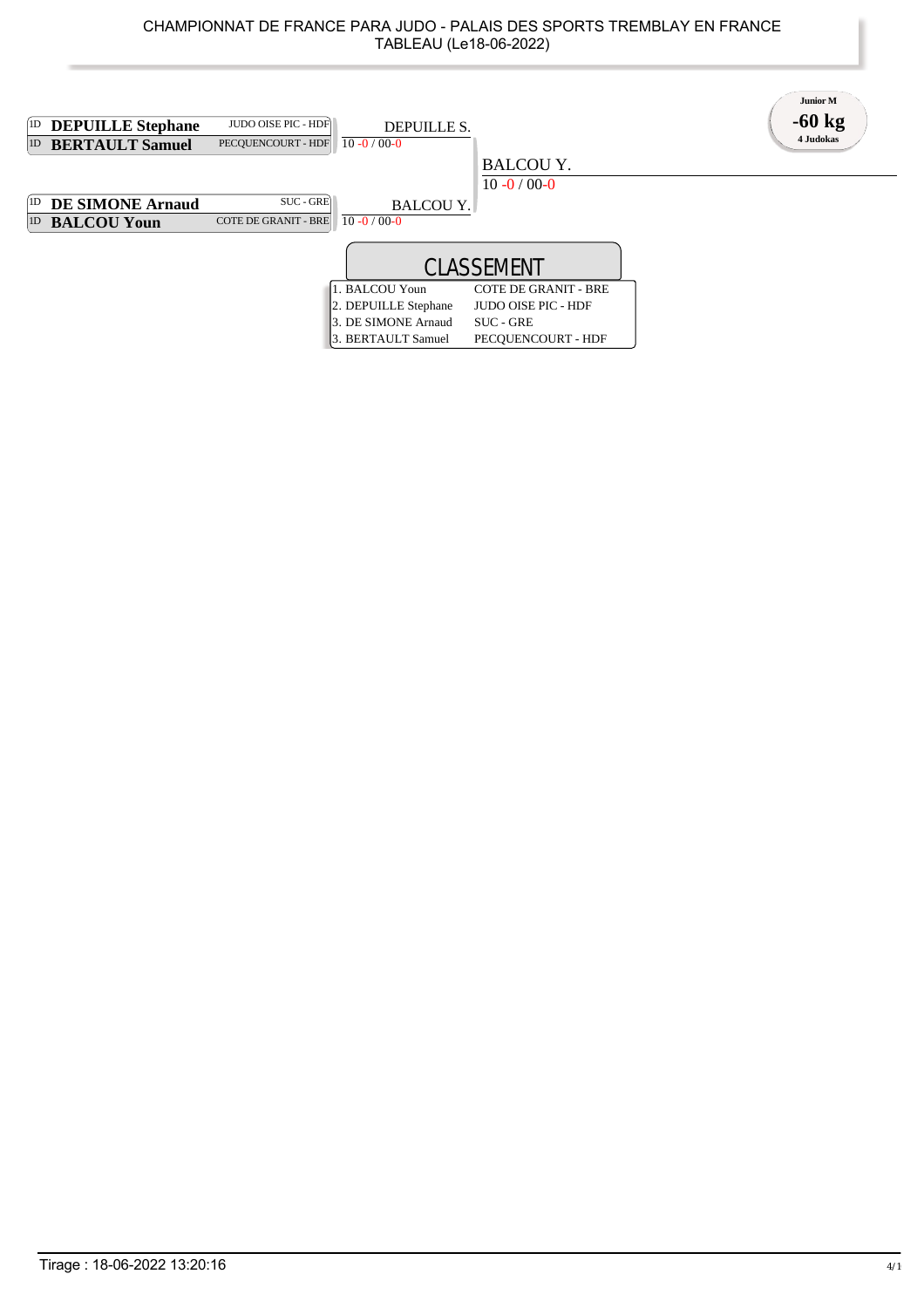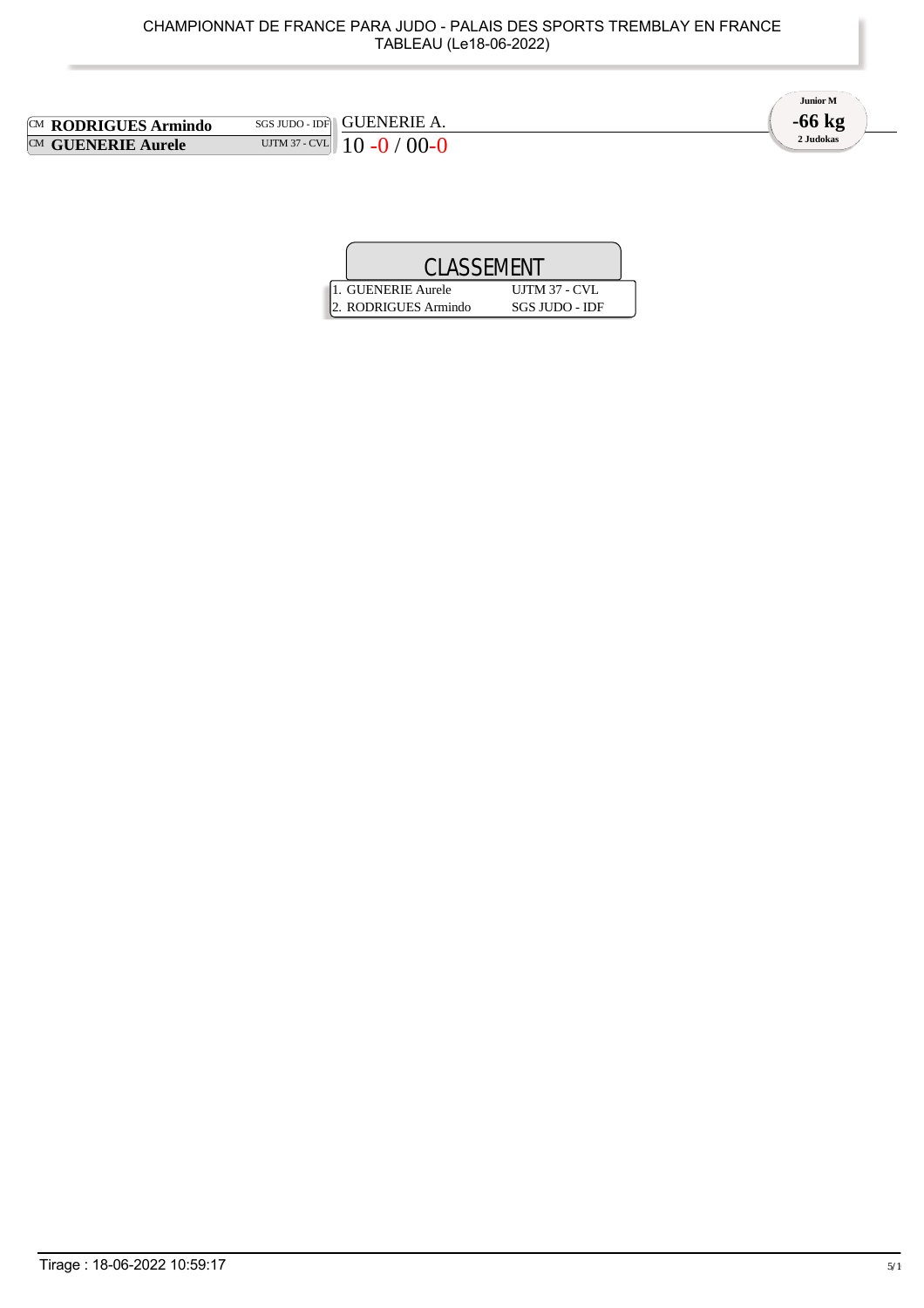| CHAMPIONNAT DE FRANCE PARA JUDO - PALAIS DES SPORTS TREMBLAY EN FRANCE<br>TABLEAU (Le18-06-2022)    |                                   |
|-----------------------------------------------------------------------------------------------------|-----------------------------------|
| <b>GUENERIE A.</b><br>$SGS$ JUDO - IDF<br>S Armindo<br>UJTM 37 - CVL<br>$10 - 0 / 00 - 0$<br>Aurele | Junior M<br>$-66$ kg<br>2 Judokas |
| <b>CLASSEMENT</b>                                                                                   |                                   |

| <b>CLASSEMENT</b>    |                       |  |
|----------------------|-----------------------|--|
| 1. GUENERIE Aurele   | <b>UJTM 37 - CVL</b>  |  |
| 2. RODRIGUES Armindo | <b>SGS JUDO - IDF</b> |  |

**CM RODRIGUES Armindo CM GUENERIE Aurele**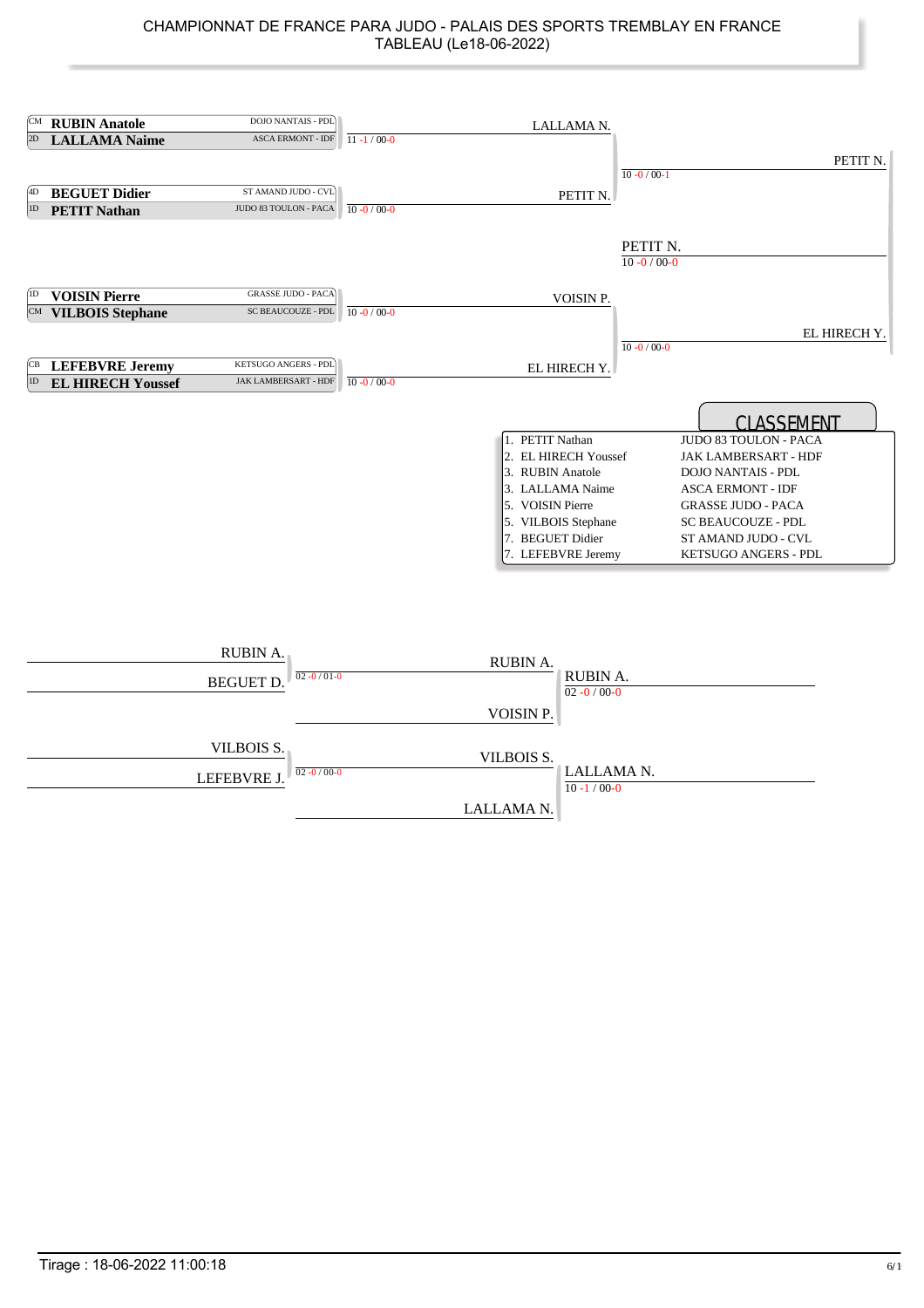| ſСM       | <b>RUBIN Anatole</b>       | DOJO NANTAIS - PDL                                    |                   | LALLAMA N.                                                                                                                                                           |                               |                                                                                                                                                                                                                                      |
|-----------|----------------------------|-------------------------------------------------------|-------------------|----------------------------------------------------------------------------------------------------------------------------------------------------------------------|-------------------------------|--------------------------------------------------------------------------------------------------------------------------------------------------------------------------------------------------------------------------------------|
| 2D        | <b>LALLAMA Naime</b>       | <b>ASCA ERMONT - IDF</b>                              | $11 - 1/00 - 0$   |                                                                                                                                                                      |                               |                                                                                                                                                                                                                                      |
|           |                            |                                                       |                   |                                                                                                                                                                      |                               | PETIT N.                                                                                                                                                                                                                             |
|           |                            |                                                       |                   |                                                                                                                                                                      | $10 - 0 / 00 - 1$             |                                                                                                                                                                                                                                      |
| 4D        | <b>BEGUET Didier</b>       | ST AMAND JUDO - CVL                                   |                   | PETIT N.                                                                                                                                                             |                               |                                                                                                                                                                                                                                      |
| 1D        | <b>PETIT Nathan</b>        | JUDO 83 TOULON - PACA                                 | $10 - 0 / 00 - 0$ |                                                                                                                                                                      |                               |                                                                                                                                                                                                                                      |
|           |                            |                                                       |                   |                                                                                                                                                                      | PETIT N.<br>$10 - 0 / 00 - 0$ |                                                                                                                                                                                                                                      |
| (1D)      | <b>VOISIN Pierre</b>       | <b>GRASSE JUDO - PACA</b>                             |                   | VOISIN P.                                                                                                                                                            |                               |                                                                                                                                                                                                                                      |
|           | <b>CM</b> VILBOIS Stephane | SC BEAUCOUZE - PDL                                    | $10 - 0 / 00 - 0$ |                                                                                                                                                                      |                               |                                                                                                                                                                                                                                      |
|           |                            |                                                       |                   |                                                                                                                                                                      |                               | EL HIRECH Y.                                                                                                                                                                                                                         |
|           |                            |                                                       |                   |                                                                                                                                                                      | $10 - 0 / 00 - 0$             |                                                                                                                                                                                                                                      |
| CВ<br> 1D | <b>LEFEBVRE Jeremy</b>     | KETSUGO ANGERS - PDL<br>JAK LAMBERSART - HDF          | $10 - 0 / 00 - 0$ | EL HIRECH Y.                                                                                                                                                         |                               |                                                                                                                                                                                                                                      |
|           | <b>EL HIRECH Youssef</b>   |                                                       |                   |                                                                                                                                                                      |                               |                                                                                                                                                                                                                                      |
|           |                            |                                                       |                   | 1. PETIT Nathan<br>2. EL HIRECH Youssef<br>3. RUBIN Anatole<br>3. LALLAMA Naime<br>5. VOISIN Pierre<br>5. VILBOIS Stephane<br>7. BEGUET Didier<br>7. LEFEBVRE Jeremy |                               | <b>CLASSEMENT</b><br>JUDO 83 TOULON - PACA<br>JAK LAMBERSART - HDF<br><b>DOJO NANTAIS - PDL</b><br><b>ASCA ERMONT - IDF</b><br><b>GRASSE JUDO - PACA</b><br><b>SC BEAUCOUZE - PDL</b><br>ST AMAND JUDO - CVL<br>KETSUGO ANGERS - PDL |
|           |                            | <b>RUBIN A.</b><br>$02 - 0/01 - 0$<br><b>BEGUET D</b> |                   | RUBIN A.<br>RUBIN A.<br>$02 - 0 / 00 - 0$<br>VOISIN P.                                                                                                               |                               |                                                                                                                                                                                                                                      |

|                           | $\sqrt{2}$                    |                                 |
|---------------------------|-------------------------------|---------------------------------|
| VILBOIS S.<br>LEFEBVRE J. | VILBOIS S.<br>$02 - 0/00 - 0$ | LALLAMA N.<br>$10 - 1 / 00 - 0$ |
|                           | LALLAMA N.                    |                                 |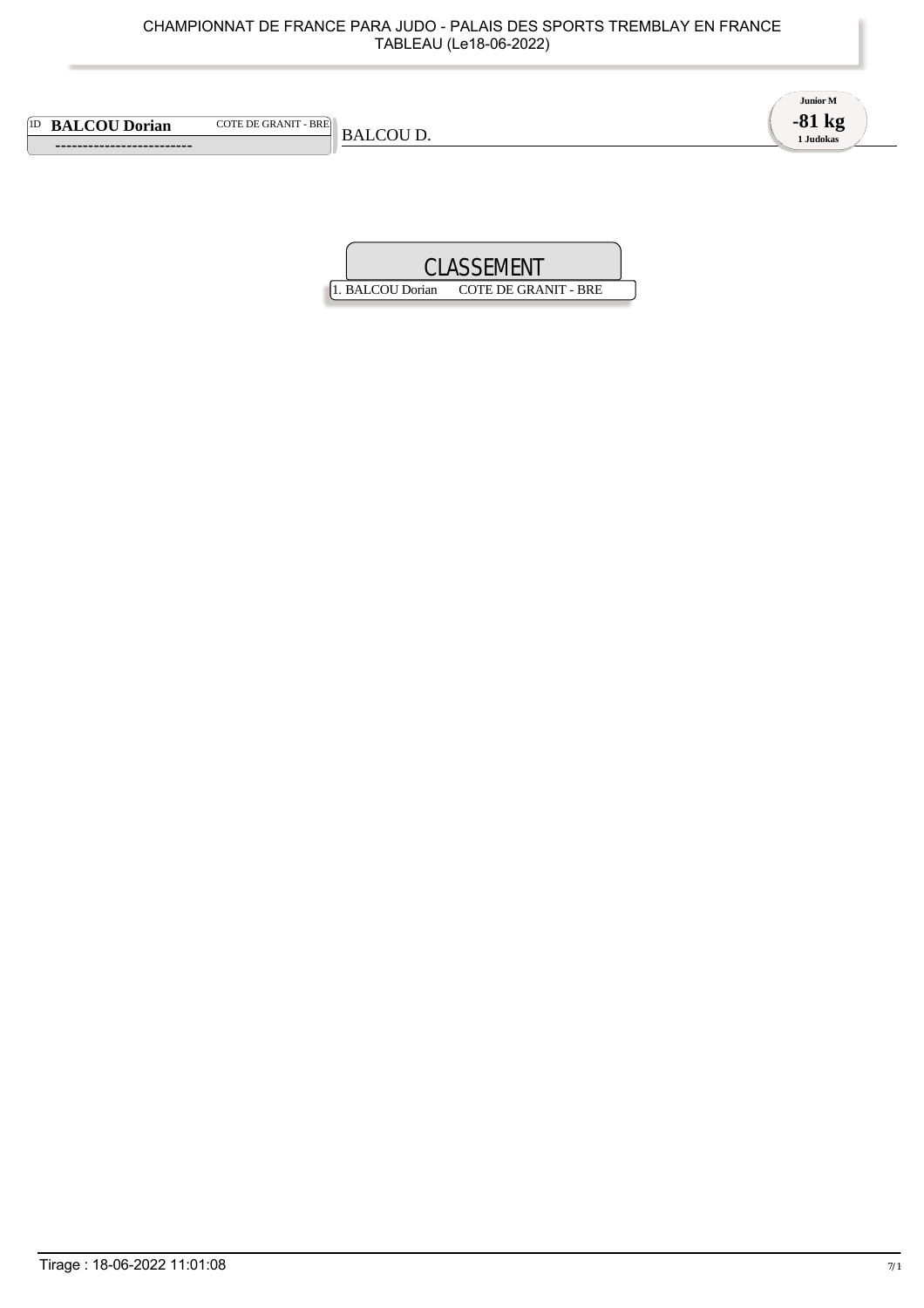|                                                             | CHAMPIONNAT DE FRANCE PARA JUDO - PALAIS DES SPORTS TREMBLAY EN FRANCE<br>TABLEAU (Le18-06-2022) |                                   |
|-------------------------------------------------------------|--------------------------------------------------------------------------------------------------|-----------------------------------|
| <sup>[1D</sup> BALCOU Dorian<br><b>COTE DE GRANIT - BRE</b> | <b>BALCOU D.</b>                                                                                 | Junior M<br>$-81$ kg<br>1 Judokas |
|                                                             | <b>CLASSEMENT</b>                                                                                |                                   |

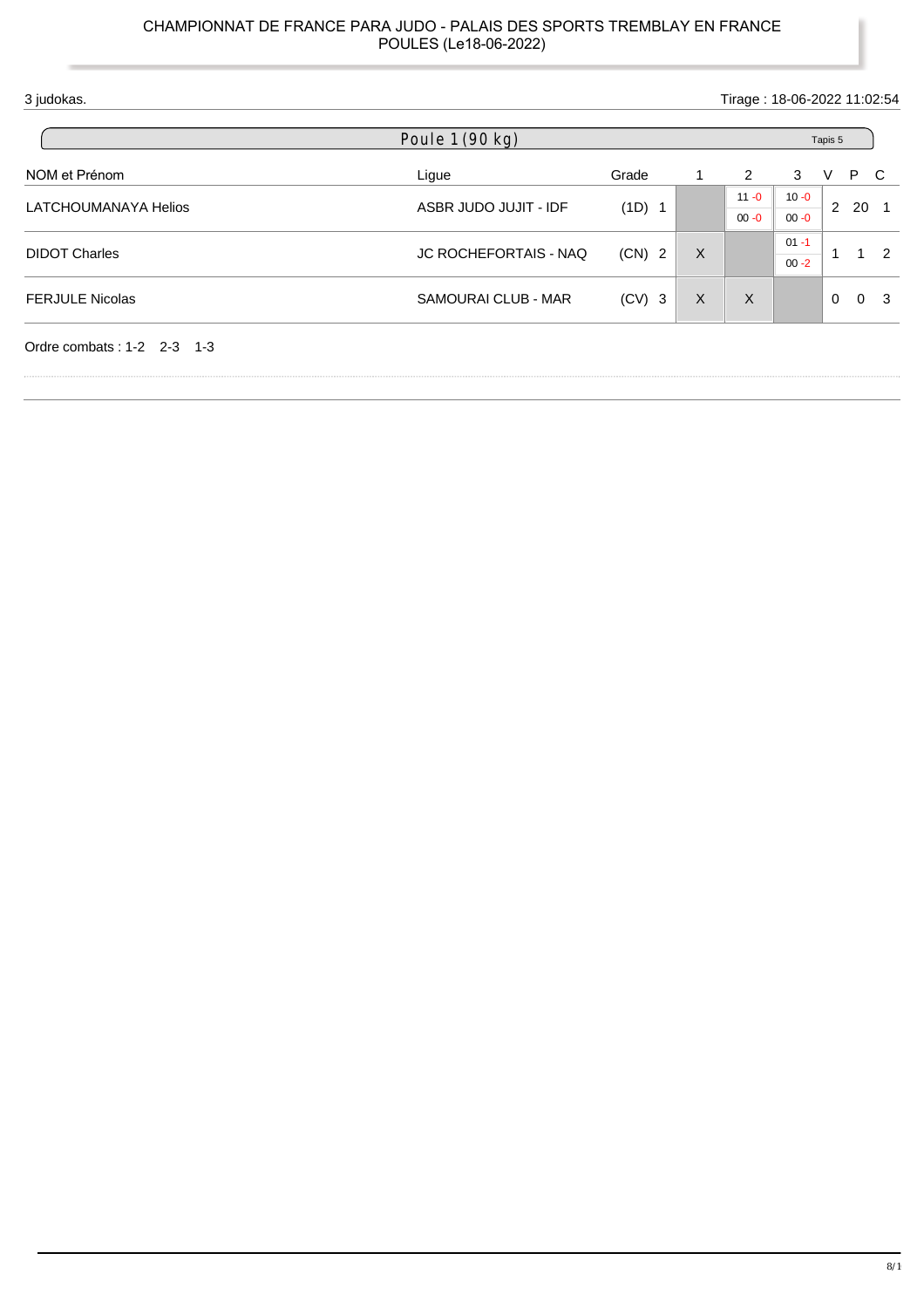| 3 judokas.                   |                              |          |   |                |          |              |     | Tirage: 18-06-2022 11:02:54 |
|------------------------------|------------------------------|----------|---|----------------|----------|--------------|-----|-----------------------------|
|                              | Poule 1 (90 kg)              |          |   |                |          | Tapis 5      |     |                             |
| NOM et Prénom                | Ligue                        | Grade    |   | $\overline{2}$ | 3        | V            | P C |                             |
| LATCHOUMANAYA Helios         | ASBR JUDO JUJIT - IDF        |          |   | $11 - 0$       | $10 - 0$ | $2^{\circ}$  |     | - 1                         |
|                              |                              | (1D) 1   |   | $00 - 0$       | $00 - 0$ |              | 20  |                             |
|                              |                              |          |   |                | $01 - 1$ |              |     |                             |
| <b>DIDOT Charles</b>         | <b>JC ROCHEFORTAIS - NAQ</b> | $(CN)$ 2 | X |                | $00 - 2$ | $\mathbf{1}$ |     | $1\quad 2$                  |
| <b>FERJULE Nicolas</b>       | SAMOURAI CLUB - MAR          | $(CV)$ 3 | X | X              |          | $\Omega$     |     | 0 <sup>3</sup>              |
| Ordre combats: $1-2$ 2-3 1-3 |                              |          |   |                |          |              |     |                             |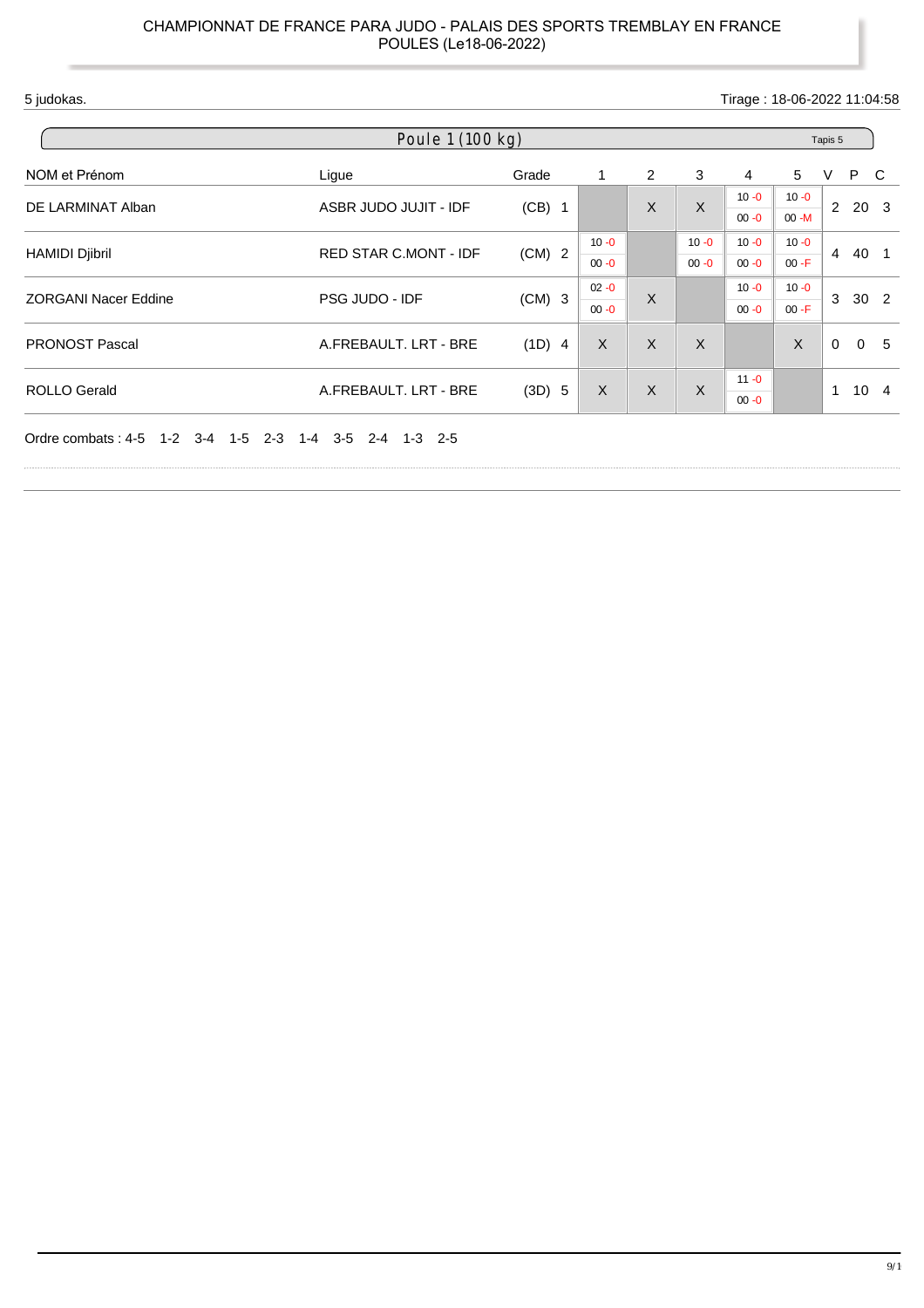5 judokas. Tirage : 18-06-2022 11:04:58

| Poule 1 (100 kg)            |                              |          |          |              |          | Tapis 5              |                      |          |                |                 |
|-----------------------------|------------------------------|----------|----------|--------------|----------|----------------------|----------------------|----------|----------------|-----------------|
| NOM et Prénom               | Ligue                        | Grade    | 1        | 2            | 3        | 4                    | 5                    | V        | P C            |                 |
| DE LARMINAT Alban           | ASBR JUDO JUJIT - IDF        | $(CB)$ 1 |          | $\mathsf{X}$ | X        | $10 - 0$<br>$00 - 0$ | $10 - 0$<br>$00 - M$ |          | $2\ 20\ 3$     |                 |
| <b>HAMIDI Djibril</b>       | <b>RED STAR C.MONT - IDF</b> | $(CM)$ 2 | $10 - 0$ |              | $10 - 0$ | $10 - 0$             | $10 - 0$             | 4        | 40 1           |                 |
|                             |                              |          | $00 - 0$ |              | $00 - 0$ | $00 - 0$             | $00 - F$             |          |                |                 |
| <b>ZORGANI Nacer Eddine</b> | PSG JUDO - IDF               | $(CM)$ 3 | $02 - 0$ | X            |          | $10 - 0$             | $10 - 0$             | 3        | 30 2           |                 |
|                             |                              |          | $00 - 0$ |              |          | $00 - 0$             | $00 - F$             |          |                |                 |
| <b>PRONOST Pascal</b>       | A.FREBAULT. LRT - BRE        | $(1D)$ 4 | $\sf X$  | X            | X        |                      | X                    | $\Omega$ | $\overline{0}$ | 5               |
| <b>ROLLO Gerald</b>         | A.FREBAULT. LRT - BRE        | (3D) 5   | $\times$ | $\sf X$      | X        | $11 - 0$             |                      | 1        |                | 10 <sub>4</sub> |
|                             |                              |          |          |              |          | $00 - 0$             |                      |          |                |                 |